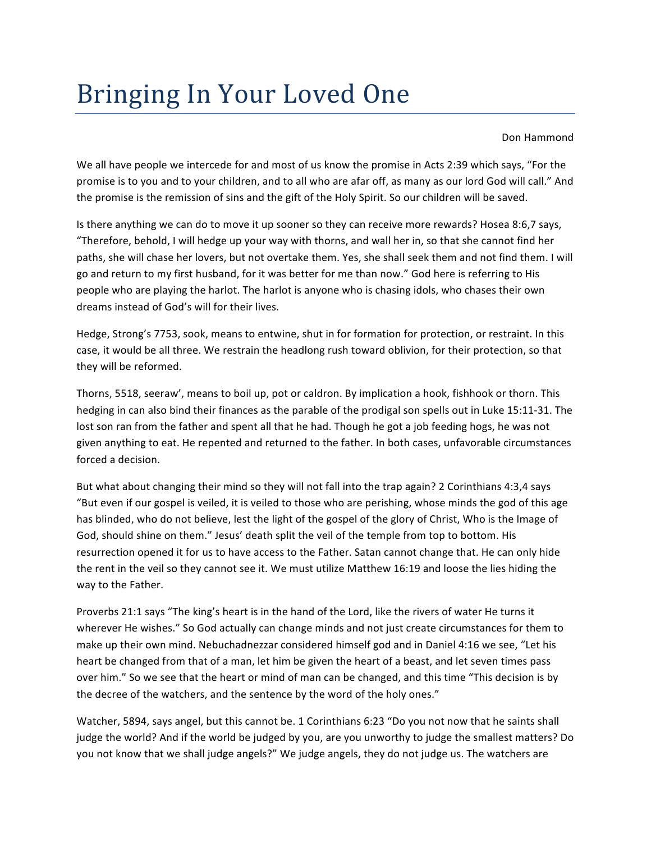## Bringing In Your Loved One

Don Hammond

We all have people we intercede for and most of us know the promise in Acts 2:39 which says, "For the promise is to you and to your children, and to all who are afar off, as many as our lord God will call." And the promise is the remission of sins and the gift of the Holy Spirit. So our children will be saved.

Is there anything we can do to move it up sooner so they can receive more rewards? Hosea 8:6,7 says, "Therefore, behold, I will hedge up your way with thorns, and wall her in, so that she cannot find her paths, she will chase her lovers, but not overtake them. Yes, she shall seek them and not find them. I will go and return to my first husband, for it was better for me than now." God here is referring to His people who are playing the harlot. The harlot is anyone who is chasing idols, who chases their own dreams instead of God's will for their lives.

Hedge, Strong's 7753, sook, means to entwine, shut in for formation for protection, or restraint. In this case, it would be all three. We restrain the headlong rush toward oblivion, for their protection, so that they will be reformed.

Thorns, 5518, seeraw', means to boil up, pot or caldron. By implication a hook, fishhook or thorn. This hedging in can also bind their finances as the parable of the prodigal son spells out in Luke 15:11-31. The lost son ran from the father and spent all that he had. Though he got a job feeding hogs, he was not given anything to eat. He repented and returned to the father. In both cases, unfavorable circumstances forced a decision.

But what about changing their mind so they will not fall into the trap again? 2 Corinthians 4:3,4 says "But even if our gospel is veiled, it is veiled to those who are perishing, whose minds the god of this age has blinded, who do not believe, lest the light of the gospel of the glory of Christ, Who is the Image of God, should shine on them." Jesus' death split the veil of the temple from top to bottom. His resurrection opened it for us to have access to the Father. Satan cannot change that. He can only hide the rent in the veil so they cannot see it. We must utilize Matthew 16:19 and loose the lies hiding the way to the Father.

Proverbs 21:1 says "The king's heart is in the hand of the Lord, like the rivers of water He turns it wherever He wishes." So God actually can change minds and not just create circumstances for them to make up their own mind. Nebuchadnezzar considered himself god and in Daniel 4:16 we see, "Let his heart be changed from that of a man, let him be given the heart of a beast, and let seven times pass over him." So we see that the heart or mind of man can be changed, and this time "This decision is by the decree of the watchers, and the sentence by the word of the holy ones."

Watcher, 5894, says angel, but this cannot be. 1 Corinthians 6:23 "Do you not now that he saints shall judge the world? And if the world be judged by you, are you unworthy to judge the smallest matters? Do you not know that we shall judge angels?" We judge angels, they do not judge us. The watchers are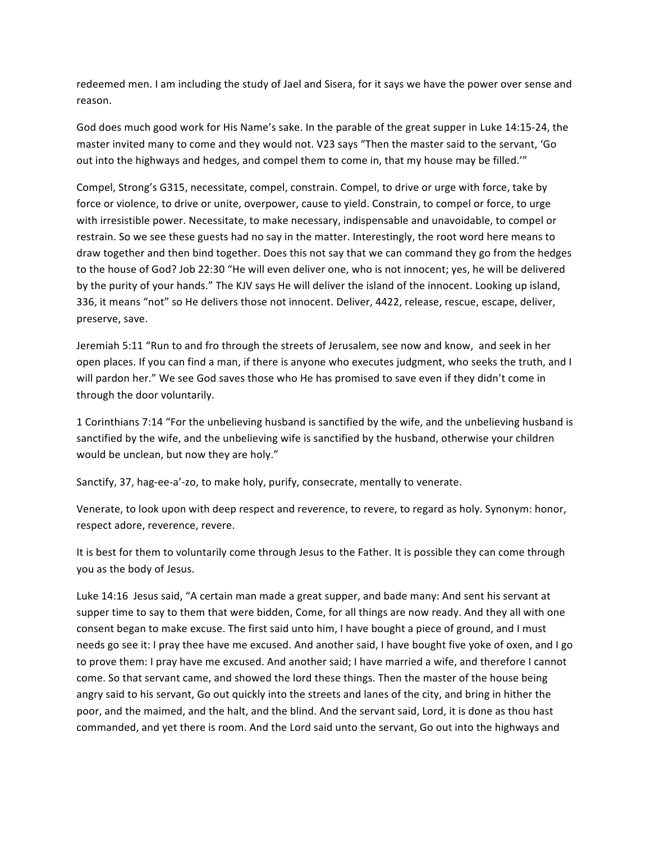redeemed men. I am including the study of Jael and Sisera, for it says we have the power over sense and reason.

God does much good work for His Name's sake. In the parable of the great supper in Luke 14:15-24, the master invited many to come and they would not. V23 says "Then the master said to the servant, 'Go out into the highways and hedges, and compel them to come in, that my house may be filled."

Compel, Strong's G315, necessitate, compel, constrain. Compel, to drive or urge with force, take by force or violence, to drive or unite, overpower, cause to yield. Constrain, to compel or force, to urge with irresistible power. Necessitate, to make necessary, indispensable and unavoidable, to compel or restrain. So we see these guests had no say in the matter. Interestingly, the root word here means to draw together and then bind together. Does this not say that we can command they go from the hedges to the house of God? Job 22:30 "He will even deliver one, who is not innocent; yes, he will be delivered by the purity of your hands." The KJV says He will deliver the island of the innocent. Looking up island, 336, it means "not" so He delivers those not innocent. Deliver, 4422, release, rescue, escape, deliver, preserve, save.

Jeremiah 5:11 "Run to and fro through the streets of Jerusalem, see now and know, and seek in her open places. If you can find a man, if there is anyone who executes judgment, who seeks the truth, and I will pardon her." We see God saves those who He has promised to save even if they didn't come in through the door voluntarily.

1 Corinthians 7:14 "For the unbelieving husband is sanctified by the wife, and the unbelieving husband is sanctified by the wife, and the unbelieving wife is sanctified by the husband, otherwise your children would be unclean, but now they are holy."

Sanctify, 37, hag-ee-a'-zo, to make holy, purify, consecrate, mentally to venerate.

Venerate, to look upon with deep respect and reverence, to revere, to regard as holy. Synonym: honor, respect adore, reverence, revere.

It is best for them to voluntarily come through Jesus to the Father. It is possible they can come through you as the body of Jesus.

Luke 14:16 Jesus said, "A certain man made a great supper, and bade many: And sent his servant at supper time to say to them that were bidden, Come, for all things are now ready. And they all with one consent began to make excuse. The first said unto him, I have bought a piece of ground, and I must needs go see it: I pray thee have me excused. And another said, I have bought five yoke of oxen, and I go to prove them: I pray have me excused. And another said; I have married a wife, and therefore I cannot come. So that servant came, and showed the lord these things. Then the master of the house being angry said to his servant, Go out quickly into the streets and lanes of the city, and bring in hither the poor, and the maimed, and the halt, and the blind. And the servant said, Lord, it is done as thou hast commanded, and yet there is room. And the Lord said unto the servant, Go out into the highways and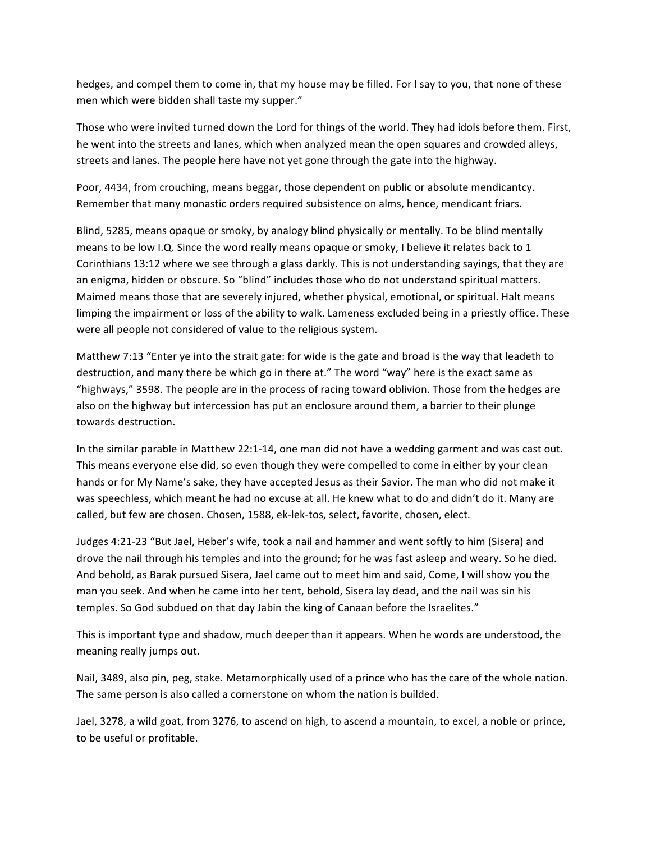hedges, and compel them to come in, that my house may be filled. For I say to you, that none of these men which were bidden shall taste my supper."

Those who were invited turned down the Lord for things of the world. They had idols before them. First, he went into the streets and lanes, which when analyzed mean the open squares and crowded alleys, streets and lanes. The people here have not yet gone through the gate into the highway.

Poor, 4434, from crouching, means beggar, those dependent on public or absolute mendicantcy. Remember that many monastic orders required subsistence on alms, hence, mendicant friars.

Blind, 5285, means opaque or smoky, by analogy blind physically or mentally. To be blind mentally means to be low I.Q. Since the word really means opaque or smoky, I believe it relates back to 1 Corinthians 13:12 where we see through a glass darkly. This is not understanding sayings, that they are an enigma, hidden or obscure. So "blind" includes those who do not understand spiritual matters. Maimed means those that are severely injured, whether physical, emotional, or spiritual. Halt means limping the impairment or loss of the ability to walk. Lameness excluded being in a priestly office. These were all people not considered of value to the religious system.

Matthew 7:13 "Enter ye into the strait gate: for wide is the gate and broad is the way that leadeth to destruction, and many there be which go in there at." The word "way" here is the exact same as "highways," 3598. The people are in the process of racing toward oblivion. Those from the hedges are also on the highway but intercession has put an enclosure around them, a barrier to their plunge towards destruction.

In the similar parable in Matthew 22:1-14, one man did not have a wedding garment and was cast out. This means everyone else did, so even though they were compelled to come in either by your clean hands or for My Name's sake, they have accepted Jesus as their Savior. The man who did not make it was speechless, which meant he had no excuse at all. He knew what to do and didn't do it. Many are called, but few are chosen. Chosen, 1588, ek-lek-tos, select, favorite, chosen, elect.

Judges 4:21-23 "But Jael, Heber's wife, took a nail and hammer and went softly to him (Sisera) and drove the nail through his temples and into the ground; for he was fast asleep and weary. So he died. And behold, as Barak pursued Sisera, Jael came out to meet him and said, Come, I will show you the man you seek. And when he came into her tent, behold, Sisera lay dead, and the nail was sin his temples. So God subdued on that day Jabin the king of Canaan before the Israelites."

This is important type and shadow, much deeper than it appears. When he words are understood, the meaning really jumps out.

Nail, 3489, also pin, peg, stake. Metamorphically used of a prince who has the care of the whole nation. The same person is also called a cornerstone on whom the nation is builded.

Jael, 3278, a wild goat, from 3276, to ascend on high, to ascend a mountain, to excel, a noble or prince, to be useful or profitable.